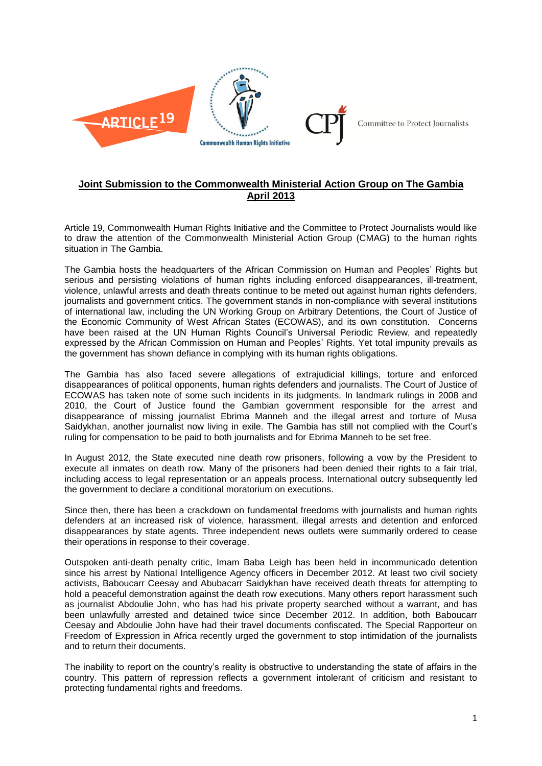

## **Joint Submission to the Commonwealth Ministerial Action Group on The Gambia April 2013**

Article 19, Commonwealth Human Rights Initiative and the Committee to Protect Journalists would like to draw the attention of the Commonwealth Ministerial Action Group (CMAG) to the human rights situation in The Gambia.

The Gambia hosts the headquarters of the African Commission on Human and Peoples' Rights but serious and persisting violations of human rights including enforced disappearances, ill-treatment, violence, unlawful arrests and death threats continue to be meted out against human rights defenders, journalists and government critics. The government stands in non-compliance with several institutions of international law, including the UN Working Group on Arbitrary Detentions, the Court of Justice of the Economic Community of West African States (ECOWAS), and its own constitution. Concerns have been raised at the UN Human Rights Council's Universal Periodic Review, and repeatedly expressed by the African Commission on Human and Peoples' Rights. Yet total impunity prevails as the government has shown defiance in complying with its human rights obligations.

The Gambia has also faced severe allegations of extrajudicial killings, torture and enforced disappearances of political opponents, human rights defenders and journalists. The Court of Justice of ECOWAS has taken note of some such incidents in its judgments. In landmark rulings in 2008 and 2010, the Court of Justice found the Gambian government responsible for the arrest and disappearance of missing journalist Ebrima Manneh and the illegal arrest and torture of Musa Saidykhan, another journalist now living in exile. The Gambia has still not complied with the Court's ruling for compensation to be paid to both journalists and for Ebrima Manneh to be set free.

In August 2012, the State executed nine death row prisoners, following a vow by the President to execute all inmates on death row. Many of the prisoners had been denied their rights to a fair trial, including access to legal representation or an appeals process. International outcry subsequently led the government to declare a conditional moratorium on executions.

Since then, there has been a crackdown on fundamental freedoms with journalists and human rights defenders at an increased risk of violence, harassment, illegal arrests and detention and enforced disappearances by state agents. Three independent news outlets were summarily ordered to cease their operations in response to their coverage.

Outspoken anti-death penalty critic, Imam Baba Leigh has been held in incommunicado detention since his arrest by National Intelligence Agency officers in December 2012. At least two civil society activists, Baboucarr Ceesay and Abubacarr Saidykhan have received death threats for attempting to hold a peaceful demonstration against the death row executions. Many others report harassment such as journalist Abdoulie John, who has had his private property searched without a warrant, and has been unlawfully arrested and detained twice since December 2012. In addition, both Baboucarr Ceesay and Abdoulie John have had their travel documents confiscated. The Special Rapporteur on Freedom of Expression in Africa recently urged the government to stop intimidation of the journalists and to return their documents.

The inability to report on the country's reality is obstructive to understanding the state of affairs in the country. This pattern of repression reflects a government intolerant of criticism and resistant to protecting fundamental rights and freedoms.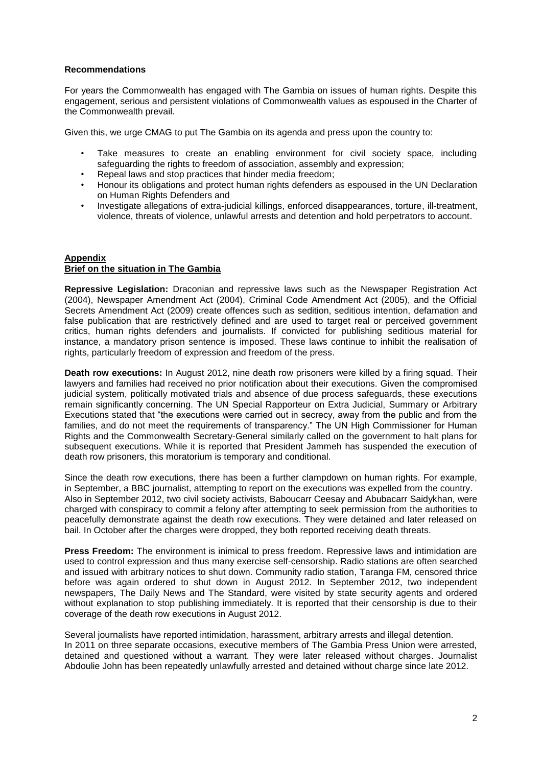## **Recommendations**

For years the Commonwealth has engaged with The Gambia on issues of human rights. Despite this engagement, serious and persistent violations of Commonwealth values as espoused in the Charter of the Commonwealth prevail.

Given this, we urge CMAG to put The Gambia on its agenda and press upon the country to:

- Take measures to create an enabling environment for civil society space, including safeguarding the rights to freedom of association, assembly and expression;
- Repeal laws and stop practices that hinder media freedom;
- Honour its obligations and protect human rights defenders as espoused in the UN Declaration on Human Rights Defenders and
- Investigate allegations of extra-judicial killings, enforced disappearances, torture, ill-treatment, violence, threats of violence, unlawful arrests and detention and hold perpetrators to account.

## **Appendix Brief on the situation in The Gambia**

**Repressive Legislation:** Draconian and repressive laws such as the Newspaper Registration Act (2004), Newspaper Amendment Act (2004), Criminal Code Amendment Act (2005), and the Official Secrets Amendment Act (2009) create offences such as sedition, seditious intention, defamation and false publication that are restrictively defined and are used to target real or perceived government critics, human rights defenders and journalists. If convicted for publishing seditious material for instance, a mandatory prison sentence is imposed. These laws continue to inhibit the realisation of rights, particularly freedom of expression and freedom of the press.

**Death row executions:** In August 2012, nine death row prisoners were killed by a firing squad. Their lawyers and families had received no prior notification about their executions. Given the compromised judicial system, politically motivated trials and absence of due process safeguards, these executions remain significantly concerning. The UN Special Rapporteur on Extra Judicial, Summary or Arbitrary Executions stated that "the executions were carried out in secrecy, away from the public and from the families, and do not meet the requirements of transparency." The UN High Commissioner for Human Rights and the Commonwealth Secretary-General similarly called on the government to halt plans for subsequent executions. While it is reported that President Jammeh has suspended the execution of death row prisoners, this moratorium is temporary and conditional.

Since the death row executions, there has been a further clampdown on human rights. For example, in September, a BBC journalist, attempting to report on the executions was expelled from the country. Also in September 2012, two civil society activists, Baboucarr Ceesay and Abubacarr Saidykhan, were charged with conspiracy to commit a felony after attempting to seek permission from the authorities to peacefully demonstrate against the death row executions. They were detained and later released on bail. In October after the charges were dropped, they both reported receiving death threats.

**Press Freedom:** The environment is inimical to press freedom. Repressive laws and intimidation are used to control expression and thus many exercise self-censorship. Radio stations are often searched and issued with arbitrary notices to shut down. Community radio station, Taranga FM, censored thrice before was again ordered to shut down in August 2012. In September 2012, two independent newspapers, The Daily News and The Standard, were visited by state security agents and ordered without explanation to stop publishing immediately. It is reported that their censorship is due to their coverage of the death row executions in August 2012.

Several journalists have reported intimidation, harassment, arbitrary arrests and illegal detention. In 2011 on three separate occasions, executive members of The Gambia Press Union were arrested, detained and questioned without a warrant. They were later released without charges. Journalist Abdoulie John has been repeatedly unlawfully arrested and detained without charge since late 2012.